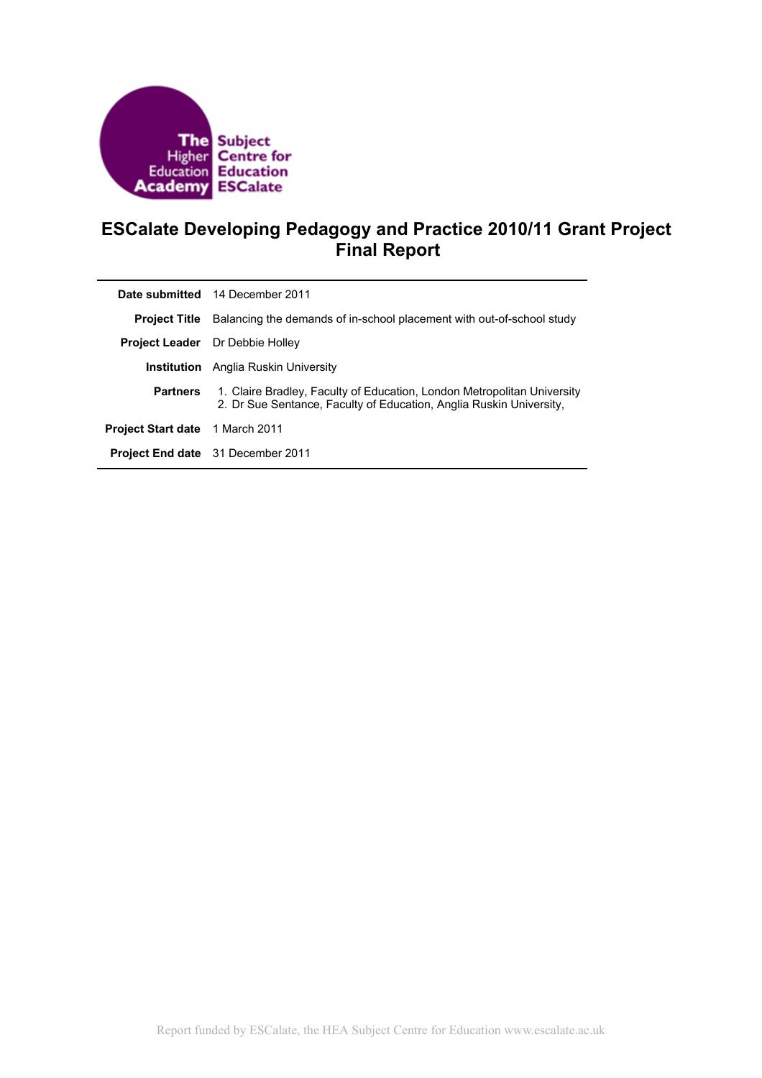

# **ESCalate Developing Pedagogy and Practice 2010/11 Grant Project Final Report**

|                                        | Date submitted 14 December 2011                                                                                                                |
|----------------------------------------|------------------------------------------------------------------------------------------------------------------------------------------------|
| <b>Project Title</b>                   | Balancing the demands of in-school placement with out-of-school study                                                                          |
|                                        | <b>Project Leader</b> Dr Debbie Holley                                                                                                         |
|                                        | <b>Institution</b> Anglia Ruskin University                                                                                                    |
| <b>Partners</b>                        | 1. Claire Bradley, Faculty of Education, London Metropolitan University<br>2. Dr Sue Sentance, Faculty of Education, Anglia Ruskin University, |
| <b>Project Start date</b> 1 March 2011 |                                                                                                                                                |
|                                        | <b>Project End date</b> 31 December 2011                                                                                                       |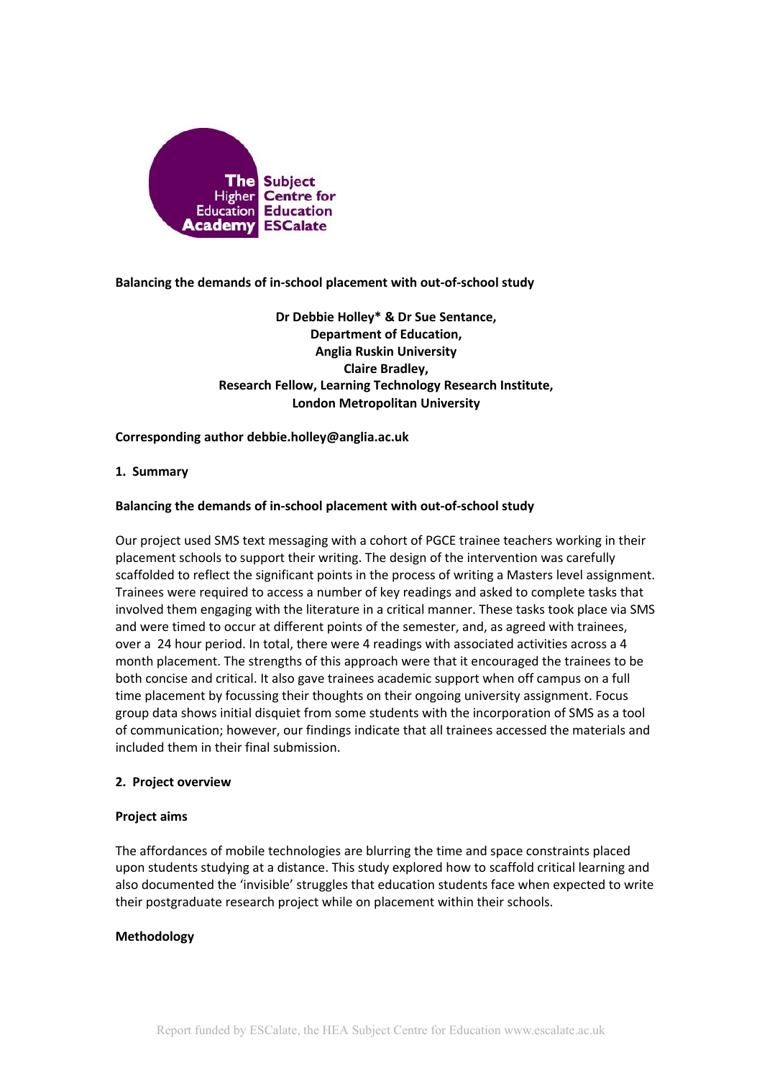

**Balancing the demands of in-school placement with out-of-school study**

**Dr Debbie Holley\* & Dr Sue Sentance, Department of Education, Anglia Ruskin University Claire Bradley, Research Fellow, Learning Technology Research Institute, London Metropolitan University**

## **Corresponding author debbie.holley@anglia.ac.uk**

## **1. Summary**

## **Balancing the demands of in-school placement with out-of-school study**

Our project used SMS text messaging with a cohort of PGCE trainee teachers working in their placement schools to support their writing. The design of the intervention was carefully scaffolded to reflect the significant points in the process of writing a Masters level assignment. Trainees were required to access a number of key readings and asked to complete tasks that involved them engaging with the literature in a critical manner. These tasks took place via SMS and were timed to occur at different points of the semester, and, as agreed with trainees, over a 24 hour period. In total, there were 4 readings with associated activities across a 4 month placement. The strengths of this approach were that it encouraged the trainees to be both concise and critical. It also gave trainees academic support when off campus on a full time placement by focussing their thoughts on their ongoing university assignment. Focus group data shows initial disquiet from some students with the incorporation of SMS as a tool of communication; however, our findings indicate that all trainees accessed the materials and included them in their final submission.

## **2. Project overview**

#### **Project aims**

The affordances of mobile technologies are blurring the time and space constraints placed upon students studying at a distance. This study explored how to scaffold critical learning and also documented the 'invisible' struggles that education students face when expected to write their postgraduate research project while on placement within their schools.

## **Methodology**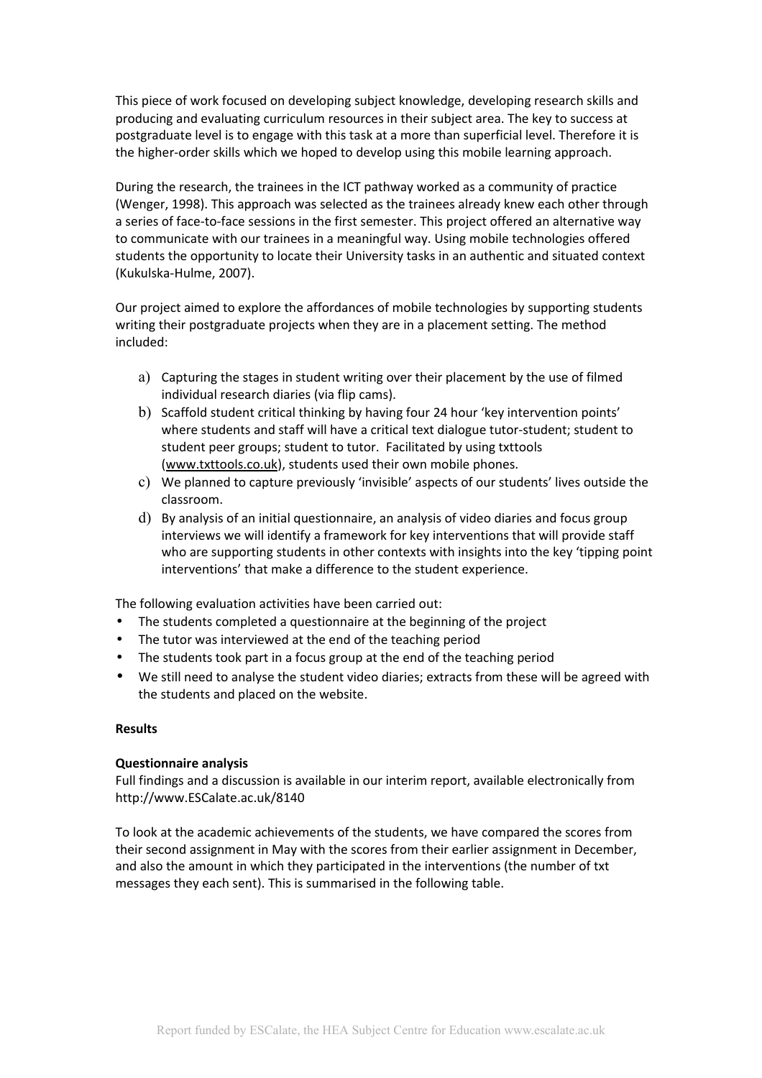This piece of work focused on developing subject knowledge, developing research skills and producing and evaluating curriculum resources in their subject area. The key to success at postgraduate level is to engage with this task at a more than superficial level. Therefore it is the higher-order skills which we hoped to develop using this mobile learning approach.

During the research, the trainees in the ICT pathway worked as a community of practice (Wenger, 1998). This approach was selected as the trainees already knew each other through a series of face-to-face sessions in the first semester. This project offered an alternative way to communicate with our trainees in a meaningful way. Using mobile technologies offered students the opportunity to locate their University tasks in an authentic and situated context (Kukulska-Hulme, 2007).

Our project aimed to explore the affordances of mobile technologies by supporting students writing their postgraduate projects when they are in a placement setting. The method included:

- a) Capturing the stages in student writing over their placement by the use of filmed individual research diaries (via flip cams).
- b) Scaffold student critical thinking by having four 24 hour 'key intervention points' where students and staff will have a critical text dialogue tutor-student; student to student peer groups; student to tutor. Facilitated by using txttools [\(www.txttools.co.uk\)](http://www.txttools.co.uk/), students used their own mobile phones.
- c) We planned to capture previously 'invisible' aspects of our students' lives outside the classroom.
- d) By analysis of an initial questionnaire, an analysis of video diaries and focus group interviews we will identify a framework for key interventions that will provide staff who are supporting students in other contexts with insights into the key 'tipping point interventions' that make a difference to the student experience.

The following evaluation activities have been carried out:

- The students completed a questionnaire at the beginning of the project
- The tutor was interviewed at the end of the teaching period
- The students took part in a focus group at the end of the teaching period
- We still need to analyse the student video diaries; extracts from these will be agreed with the students and placed on the website.

## **Results**

## **Questionnaire analysis**

Full findings and a discussion is available in our interim report, available electronically from http://www.ESCalate.ac.uk/8140

To look at the academic achievements of the students, we have compared the scores from their second assignment in May with the scores from their earlier assignment in December, and also the amount in which they participated in the interventions (the number of txt messages they each sent). This is summarised in the following table.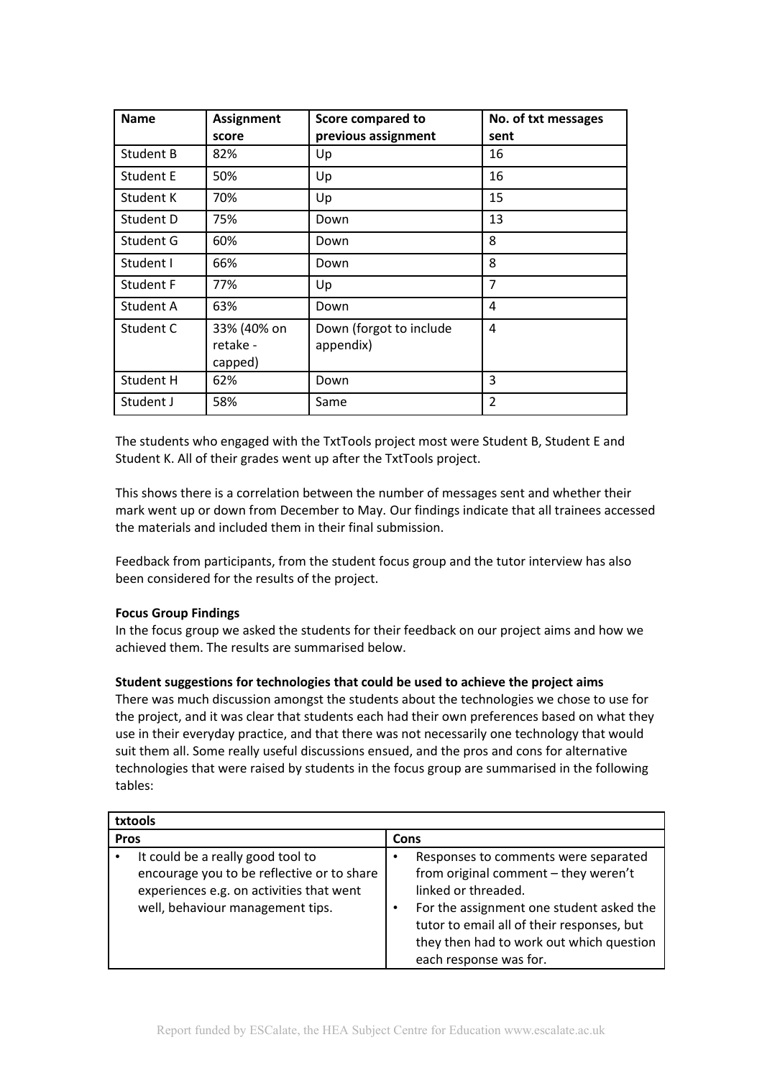| <b>Name</b>      | <b>Assignment</b>                  | <b>Score compared to</b>             | No. of txt messages |
|------------------|------------------------------------|--------------------------------------|---------------------|
|                  | score                              | previous assignment                  | sent                |
| Student B        | 82%                                | Up                                   | 16                  |
| <b>Student E</b> | 50%                                | Up                                   | 16                  |
| Student K        | 70%                                | Up                                   | 15                  |
| Student D        | 75%                                | Down                                 | 13                  |
| Student G        | 60%                                | Down                                 | 8                   |
| Student I        | 66%                                | Down                                 | 8                   |
| Student F        | 77%                                | Up                                   | 7                   |
| Student A        | 63%                                | Down                                 | 4                   |
| Student C        | 33% (40% on<br>retake -<br>capped) | Down (forgot to include<br>appendix) | 4                   |
| Student H        | 62%                                | Down                                 | 3                   |
| Student J        | 58%                                | Same                                 | 2                   |

The students who engaged with the TxtTools project most were Student B, Student E and Student K. All of their grades went up after the TxtTools project.

This shows there is a correlation between the number of messages sent and whether their mark went up or down from December to May. Our findings indicate that all trainees accessed the materials and included them in their final submission.

Feedback from participants, from the student focus group and the tutor interview has also been considered for the results of the project.

# **Focus Group Findings**

In the focus group we asked the students for their feedback on our project aims and how we achieved them. The results are summarised below.

## **Student suggestions for technologies that could be used to achieve the project aims**

There was much discussion amongst the students about the technologies we chose to use for the project, and it was clear that students each had their own preferences based on what they use in their everyday practice, and that there was not necessarily one technology that would suit them all. Some really useful discussions ensued, and the pros and cons for alternative technologies that were raised by students in the focus group are summarised in the following tables:

| txtools                                                                                                                                                                                                                                                                  |  |  |  |
|--------------------------------------------------------------------------------------------------------------------------------------------------------------------------------------------------------------------------------------------------------------------------|--|--|--|
| Cons                                                                                                                                                                                                                                                                     |  |  |  |
| Responses to comments were separated<br>٠<br>from original comment - they weren't<br>linked or threaded.<br>For the assignment one student asked the<br>tutor to email all of their responses, but<br>they then had to work out which question<br>each response was for. |  |  |  |
|                                                                                                                                                                                                                                                                          |  |  |  |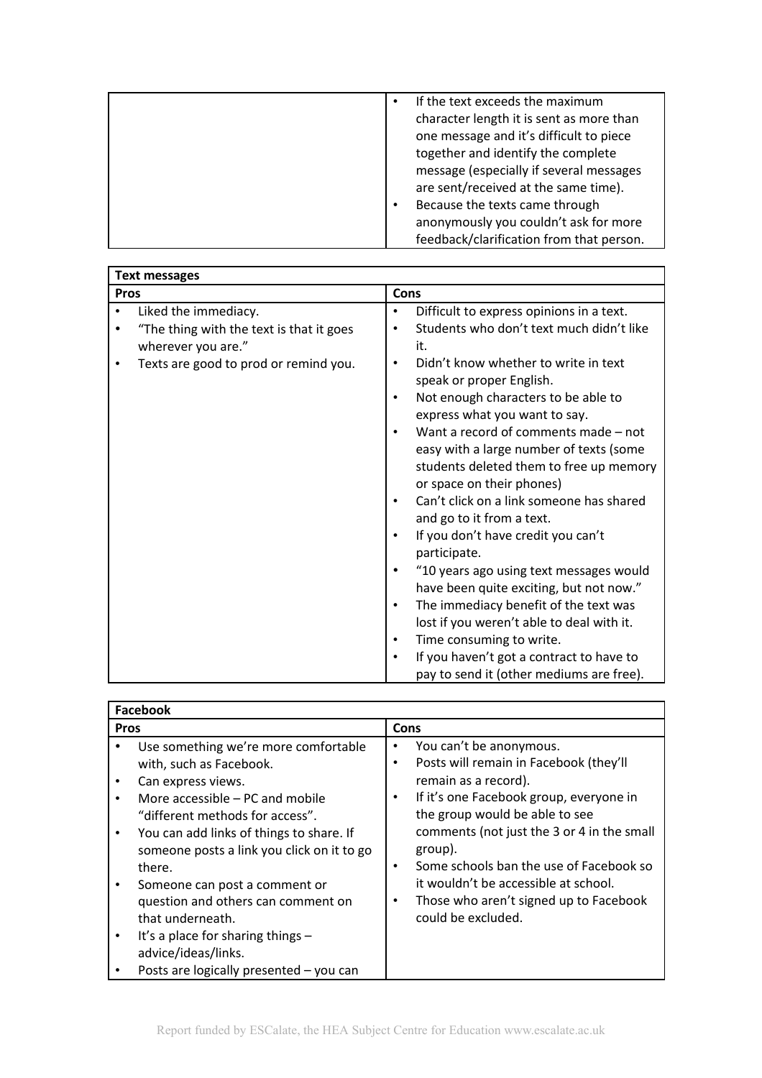| If the text exceeds the maximum          |
|------------------------------------------|
| character length it is sent as more than |
| one message and it's difficult to piece  |
| together and identify the complete       |
| message (especially if several messages  |
| are sent/received at the same time).     |
| Because the texts came through           |
| anonymously you couldn't ask for more    |
| feedback/clarification from that person. |

| <b>Text messages</b>                                                                                                                         |                                                                                                                                                                                                                                                                                                                                                                                                                                                                                                                                                                                                                                                                                                                                                                                                                                                                                                                                                                     |  |  |
|----------------------------------------------------------------------------------------------------------------------------------------------|---------------------------------------------------------------------------------------------------------------------------------------------------------------------------------------------------------------------------------------------------------------------------------------------------------------------------------------------------------------------------------------------------------------------------------------------------------------------------------------------------------------------------------------------------------------------------------------------------------------------------------------------------------------------------------------------------------------------------------------------------------------------------------------------------------------------------------------------------------------------------------------------------------------------------------------------------------------------|--|--|
| <b>Pros</b>                                                                                                                                  | Cons                                                                                                                                                                                                                                                                                                                                                                                                                                                                                                                                                                                                                                                                                                                                                                                                                                                                                                                                                                |  |  |
| Liked the immediacy.<br>"The thing with the text is that it goes<br>wherever you are."<br>Texts are good to prod or remind you.<br>$\bullet$ | Difficult to express opinions in a text.<br>$\bullet$<br>Students who don't text much didn't like<br>$\bullet$<br>it.<br>Didn't know whether to write in text<br>$\bullet$<br>speak or proper English.<br>Not enough characters to be able to<br>$\bullet$<br>express what you want to say.<br>Want a record of comments made - not<br>$\bullet$<br>easy with a large number of texts (some<br>students deleted them to free up memory<br>or space on their phones)<br>Can't click on a link someone has shared<br>$\bullet$<br>and go to it from a text.<br>If you don't have credit you can't<br>$\bullet$<br>participate.<br>"10 years ago using text messages would<br>have been quite exciting, but not now."<br>The immediacy benefit of the text was<br>$\bullet$<br>lost if you weren't able to deal with it.<br>Time consuming to write.<br>$\bullet$<br>If you haven't got a contract to have to<br>$\bullet$<br>pay to send it (other mediums are free). |  |  |

| <b>Facebook</b> |                                                                                                                                                                                                                                                                                                                                                                                                                          |                                                                                                                                                                                                                                                                                                                                                                                                                             |  |
|-----------------|--------------------------------------------------------------------------------------------------------------------------------------------------------------------------------------------------------------------------------------------------------------------------------------------------------------------------------------------------------------------------------------------------------------------------|-----------------------------------------------------------------------------------------------------------------------------------------------------------------------------------------------------------------------------------------------------------------------------------------------------------------------------------------------------------------------------------------------------------------------------|--|
| <b>Pros</b>     |                                                                                                                                                                                                                                                                                                                                                                                                                          | Cons                                                                                                                                                                                                                                                                                                                                                                                                                        |  |
|                 | Use something we're more comfortable<br>with, such as Facebook.<br>Can express views.<br>More accessible – PC and mobile<br>"different methods for access".<br>You can add links of things to share. If<br>someone posts a link you click on it to go<br>there.<br>Someone can post a comment or<br>question and others can comment on<br>that underneath.<br>It's a place for sharing things $-$<br>advice/ideas/links. | You can't be anonymous.<br>٠<br>Posts will remain in Facebook (they'll<br>$\bullet$<br>remain as a record).<br>If it's one Facebook group, everyone in<br>٠<br>the group would be able to see<br>comments (not just the 3 or 4 in the small<br>group).<br>Some schools ban the use of Facebook so<br>$\bullet$<br>it wouldn't be accessible at school.<br>Those who aren't signed up to Facebook<br>٠<br>could be excluded. |  |
|                 | Posts are logically presented - you can                                                                                                                                                                                                                                                                                                                                                                                  |                                                                                                                                                                                                                                                                                                                                                                                                                             |  |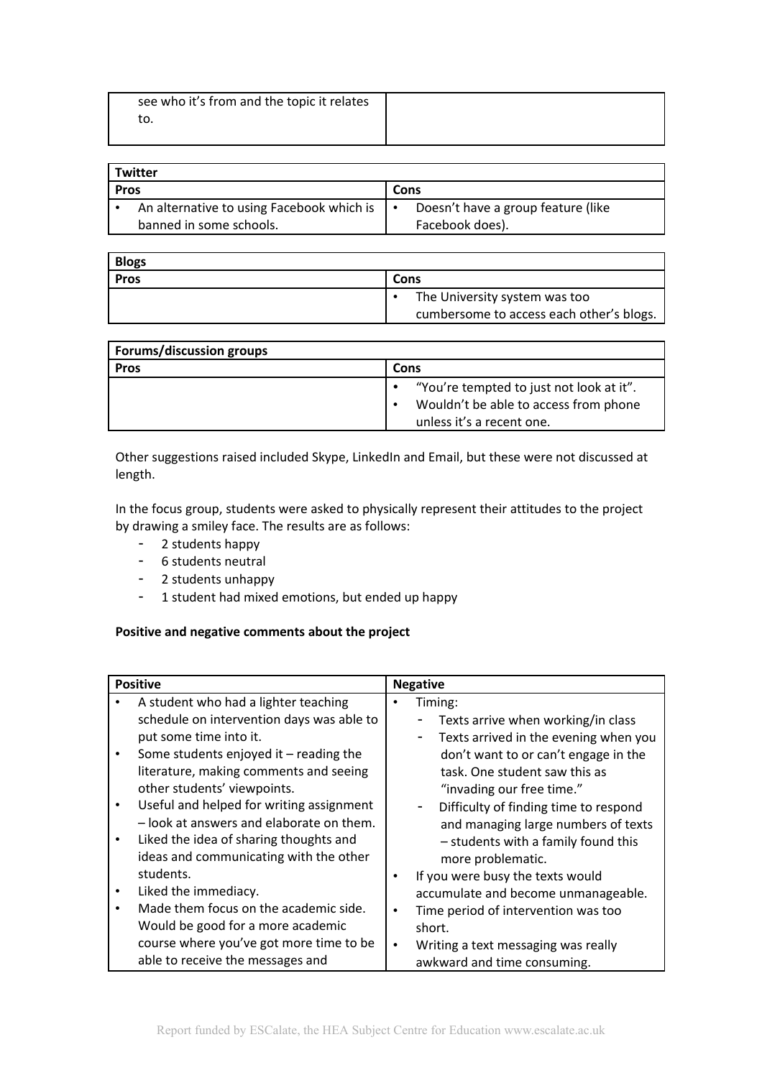| see who it's from and the topic it relates |  |
|--------------------------------------------|--|
| ιU.                                        |  |
|                                            |  |

| Twitter                 |                                           |             |                                    |  |
|-------------------------|-------------------------------------------|-------------|------------------------------------|--|
| <b>Pros</b>             |                                           | <b>Cons</b> |                                    |  |
|                         | An alternative to using Facebook which is |             | Doesn't have a group feature (like |  |
| banned in some schools. |                                           |             | Facebook does).                    |  |

| <b>Blogs</b> |                                          |  |
|--------------|------------------------------------------|--|
| <b>Pros</b>  | Cons                                     |  |
|              | The University system was too            |  |
|              | cumbersome to access each other's blogs. |  |

| <b>Forums/discussion groups</b> |                                          |  |  |
|---------------------------------|------------------------------------------|--|--|
| <b>Pros</b>                     | Cons                                     |  |  |
|                                 | "You're tempted to just not look at it". |  |  |
|                                 | Wouldn't be able to access from phone    |  |  |
|                                 | unless it's a recent one.                |  |  |

Other suggestions raised included Skype, LinkedIn and Email, but these were not discussed at length.

In the focus group, students were asked to physically represent their attitudes to the project by drawing a smiley face. The results are as follows:

- 2 students happy
- 6 students neutral
- 2 students unhappy
- 1 student had mixed emotions, but ended up happy

# **Positive and negative comments about the project**

|           | <b>Positive</b>                           |           | <b>Negative</b>                       |  |
|-----------|-------------------------------------------|-----------|---------------------------------------|--|
|           | A student who had a lighter teaching      |           | Timing:                               |  |
|           | schedule on intervention days was able to |           | Texts arrive when working/in class    |  |
|           | put some time into it.                    |           | Texts arrived in the evening when you |  |
| $\bullet$ | Some students enjoyed it $-$ reading the  |           | don't want to or can't engage in the  |  |
|           | literature, making comments and seeing    |           | task. One student saw this as         |  |
|           | other students' viewpoints.               |           | "invading our free time."             |  |
| $\bullet$ | Useful and helped for writing assignment  |           | Difficulty of finding time to respond |  |
|           | - look at answers and elaborate on them.  |           | and managing large numbers of texts   |  |
| $\bullet$ | Liked the idea of sharing thoughts and    |           | - students with a family found this   |  |
|           | ideas and communicating with the other    |           | more problematic.                     |  |
|           | students.                                 | ٠         | If you were busy the texts would      |  |
| $\bullet$ | Liked the immediacy.                      |           | accumulate and become unmanageable.   |  |
| $\bullet$ | Made them focus on the academic side.     | $\bullet$ | Time period of intervention was too   |  |
|           | Would be good for a more academic         |           | short.                                |  |
|           | course where you've got more time to be   | $\bullet$ | Writing a text messaging was really   |  |
|           | able to receive the messages and          |           | awkward and time consuming.           |  |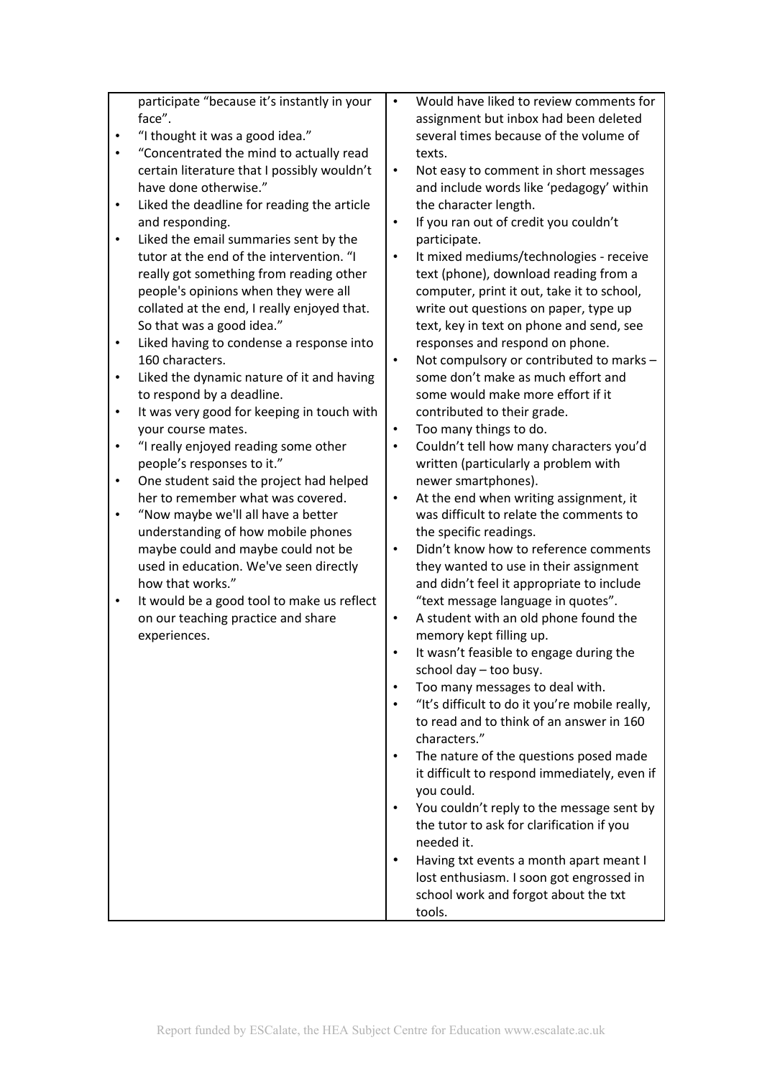|           | participate "because it's instantly in your | $\bullet$ | Would have liked to review comments for        |
|-----------|---------------------------------------------|-----------|------------------------------------------------|
|           | face".                                      |           | assignment but inbox had been deleted          |
|           | "I thought it was a good idea."             |           | several times because of the volume of         |
| $\bullet$ | "Concentrated the mind to actually read     |           | texts.                                         |
|           | certain literature that I possibly wouldn't | $\bullet$ | Not easy to comment in short messages          |
|           | have done otherwise."                       |           | and include words like 'pedagogy' within       |
| $\bullet$ | Liked the deadline for reading the article  |           | the character length.                          |
|           | and responding.                             | $\bullet$ | If you ran out of credit you couldn't          |
| $\bullet$ | Liked the email summaries sent by the       |           | participate.                                   |
|           | tutor at the end of the intervention. "I    | $\bullet$ | It mixed mediums/technologies - receive        |
|           | really got something from reading other     |           | text (phone), download reading from a          |
|           | people's opinions when they were all        |           | computer, print it out, take it to school,     |
|           | collated at the end, I really enjoyed that. |           | write out questions on paper, type up          |
|           | So that was a good idea."                   |           | text, key in text on phone and send, see       |
| $\bullet$ | Liked having to condense a response into    |           | responses and respond on phone.                |
|           | 160 characters.                             | $\bullet$ | Not compulsory or contributed to marks -       |
| ٠         | Liked the dynamic nature of it and having   |           | some don't make as much effort and             |
|           | to respond by a deadline.                   |           | some would make more effort if it              |
| ٠         | It was very good for keeping in touch with  |           | contributed to their grade.                    |
|           | your course mates.                          | $\bullet$ | Too many things to do.                         |
| $\bullet$ | "I really enjoyed reading some other        | $\bullet$ | Couldn't tell how many characters you'd        |
|           | people's responses to it."                  |           | written (particularly a problem with           |
| $\bullet$ | One student said the project had helped     |           | newer smartphones).                            |
|           | her to remember what was covered.           | $\bullet$ | At the end when writing assignment, it         |
| $\bullet$ | "Now maybe we'll all have a better          |           | was difficult to relate the comments to        |
|           | understanding of how mobile phones          |           | the specific readings.                         |
|           | maybe could and maybe could not be          | $\bullet$ | Didn't know how to reference comments          |
|           | used in education. We've seen directly      |           | they wanted to use in their assignment         |
|           | how that works."                            |           | and didn't feel it appropriate to include      |
| $\bullet$ | It would be a good tool to make us reflect  |           | "text message language in quotes".             |
|           | on our teaching practice and share          | $\bullet$ | A student with an old phone found the          |
|           | experiences.                                |           | memory kept filling up.                        |
|           |                                             | $\bullet$ | It wasn't feasible to engage during the        |
|           |                                             |           | school day - too busy.                         |
|           |                                             |           | Too many messages to deal with.                |
|           |                                             |           | "It's difficult to do it you're mobile really, |
|           |                                             |           | to read and to think of an answer in 160       |
|           |                                             |           | characters."                                   |
|           |                                             |           |                                                |
|           |                                             |           | The nature of the questions posed made         |
|           |                                             |           | it difficult to respond immediately, even if   |
|           |                                             |           | you could.                                     |
|           |                                             |           | You couldn't reply to the message sent by      |
|           |                                             |           | the tutor to ask for clarification if you      |
|           |                                             |           | needed it.                                     |
|           |                                             |           | Having txt events a month apart meant I        |
|           |                                             |           | lost enthusiasm. I soon got engrossed in       |
|           |                                             |           | school work and forgot about the txt           |
|           |                                             |           | tools.                                         |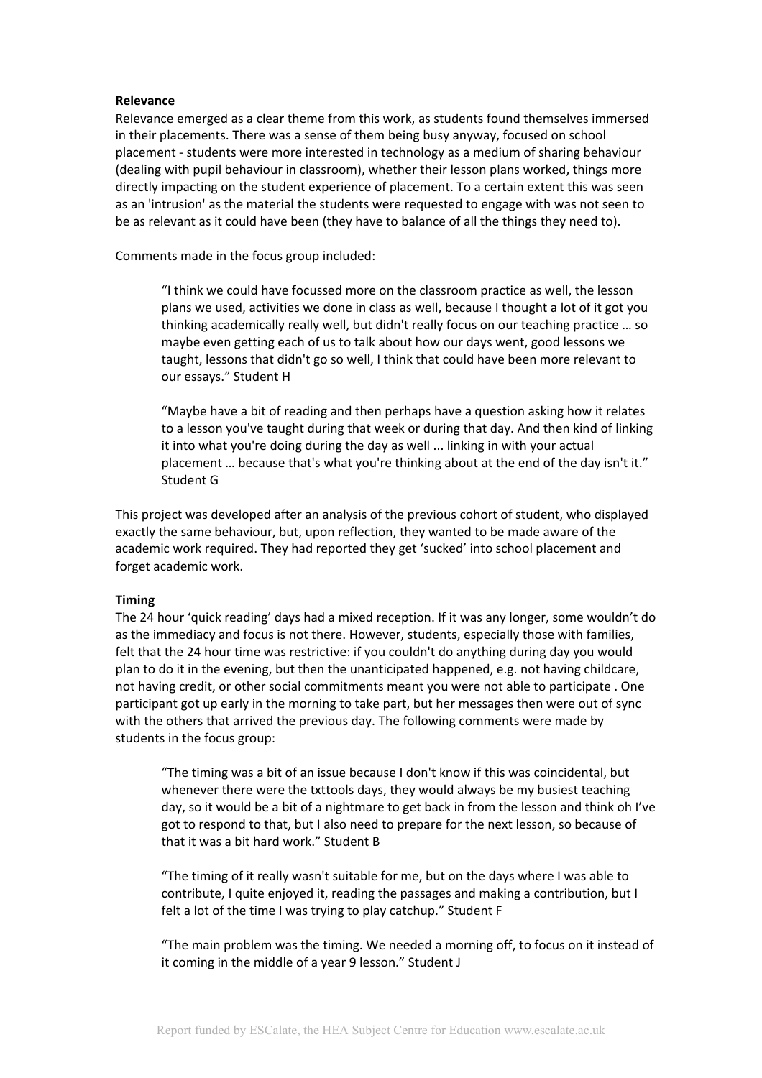#### **Relevance**

Relevance emerged as a clear theme from this work, as students found themselves immersed in their placements. There was a sense of them being busy anyway, focused on school placement - students were more interested in technology as a medium of sharing behaviour (dealing with pupil behaviour in classroom), whether their lesson plans worked, things more directly impacting on the student experience of placement. To a certain extent this was seen as an 'intrusion' as the material the students were requested to engage with was not seen to be as relevant as it could have been (they have to balance of all the things they need to).

Comments made in the focus group included:

"I think we could have focussed more on the classroom practice as well, the lesson plans we used, activities we done in class as well, because I thought a lot of it got you thinking academically really well, but didn't really focus on our teaching practice … so maybe even getting each of us to talk about how our days went, good lessons we taught, lessons that didn't go so well, I think that could have been more relevant to our essays." Student H

"Maybe have a bit of reading and then perhaps have a question asking how it relates to a lesson you've taught during that week or during that day. And then kind of linking it into what you're doing during the day as well ... linking in with your actual placement … because that's what you're thinking about at the end of the day isn't it." Student G

This project was developed after an analysis of the previous cohort of student, who displayed exactly the same behaviour, but, upon reflection, they wanted to be made aware of the academic work required. They had reported they get 'sucked' into school placement and forget academic work.

## **Timing**

The 24 hour 'quick reading' days had a mixed reception. If it was any longer, some wouldn't do as the immediacy and focus is not there. However, students, especially those with families, felt that the 24 hour time was restrictive: if you couldn't do anything during day you would plan to do it in the evening, but then the unanticipated happened, e.g. not having childcare, not having credit, or other social commitments meant you were not able to participate . One participant got up early in the morning to take part, but her messages then were out of sync with the others that arrived the previous day. The following comments were made by students in the focus group:

"The timing was a bit of an issue because I don't know if this was coincidental, but whenever there were the txttools days, they would always be my busiest teaching day, so it would be a bit of a nightmare to get back in from the lesson and think oh I've got to respond to that, but I also need to prepare for the next lesson, so because of that it was a bit hard work." Student B

"The timing of it really wasn't suitable for me, but on the days where I was able to contribute, I quite enjoyed it, reading the passages and making a contribution, but I felt a lot of the time I was trying to play catchup." Student F

"The main problem was the timing. We needed a morning off, to focus on it instead of it coming in the middle of a year 9 lesson." Student J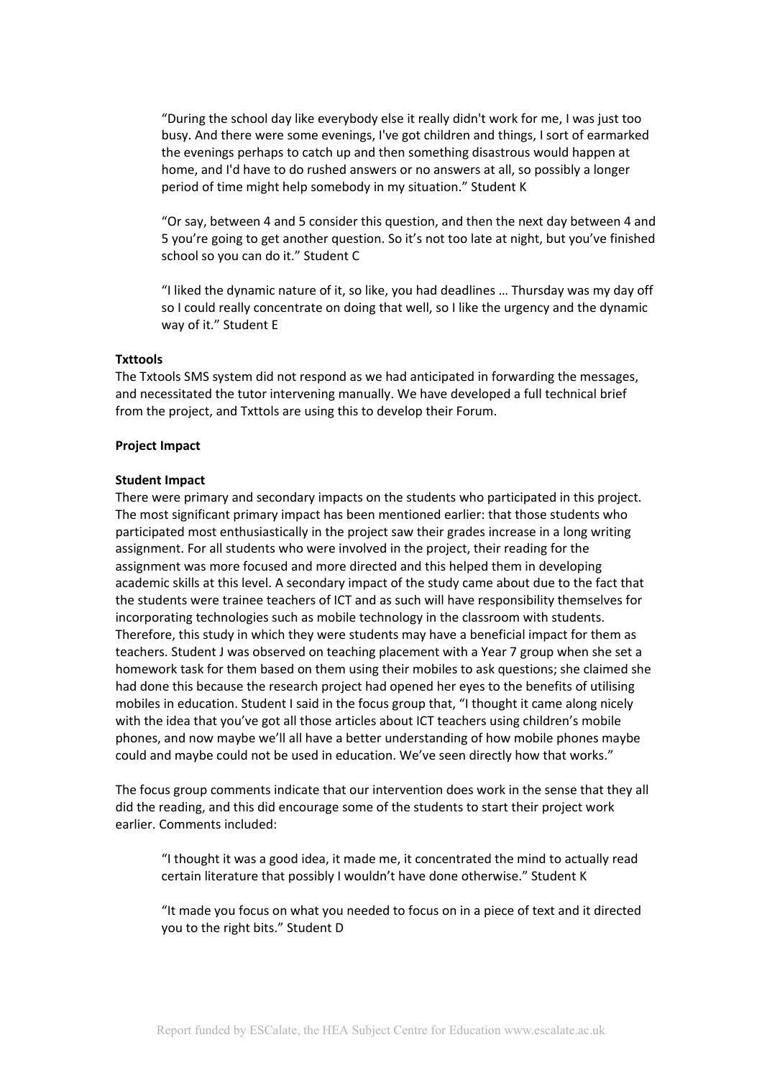"During the school day like everybody else it really didn't work for me, I was just too busy. And there were some evenings, I've got children and things, I sort of earmarked the evenings perhaps to catch up and then something disastrous would happen at home, and I'd have to do rushed answers or no answers at all, so possibly a longer period of time might help somebody in my situation." Student K

"Or say, between 4 and 5 consider this question, and then the next day between 4 and 5 you're going to get another question. So it's not too late at night, but you've finished school so you can do it." Student C

"I liked the dynamic nature of it, so like, you had deadlines … Thursday was my day off so I could really concentrate on doing that well, so I like the urgency and the dynamic way of it." Student E

#### **Txttools**

The Txtools SMS system did not respond as we had anticipated in forwarding the messages, and necessitated the tutor intervening manually. We have developed a full technical brief from the project, and Txttols are using this to develop their Forum.

#### **Project Impact**

#### **Student Impact**

There were primary and secondary impacts on the students who participated in this project. The most significant primary impact has been mentioned earlier: that those students who participated most enthusiastically in the project saw their grades increase in a long writing assignment. For all students who were involved in the project, their reading for the assignment was more focused and more directed and this helped them in developing academic skills at this level. A secondary impact of the study came about due to the fact that the students were trainee teachers of ICT and as such will have responsibility themselves for incorporating technologies such as mobile technology in the classroom with students. Therefore, this study in which they were students may have a beneficial impact for them as teachers. Student J was observed on teaching placement with a Year 7 group when she set a homework task for them based on them using their mobiles to ask questions; she claimed she had done this because the research project had opened her eyes to the benefits of utilising mobiles in education. Student I said in the focus group that, "I thought it came along nicely with the idea that you've got all those articles about ICT teachers using children's mobile phones, and now maybe we'll all have a better understanding of how mobile phones maybe could and maybe could not be used in education. We've seen directly how that works."

The focus group comments indicate that our intervention does work in the sense that they all did the reading, and this did encourage some of the students to start their project work earlier. Comments included:

"I thought it was a good idea, it made me, it concentrated the mind to actually read certain literature that possibly I wouldn't have done otherwise." Student K

"It made you focus on what you needed to focus on in a piece of text and it directed you to the right bits." Student D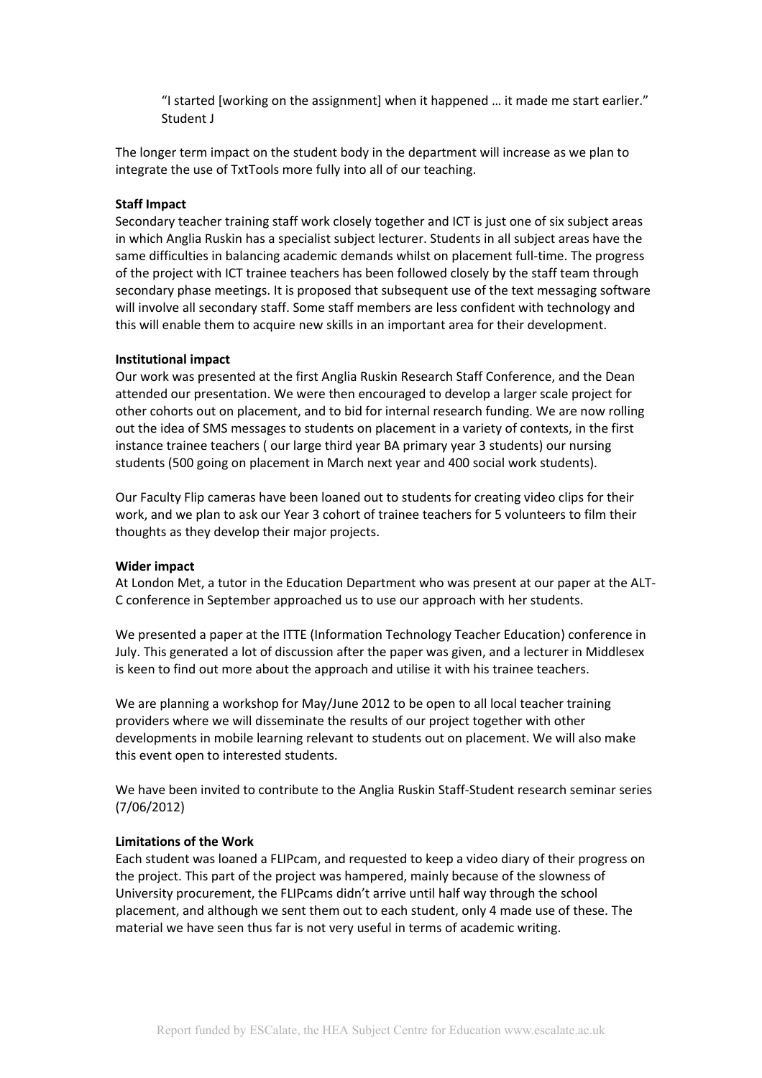"I started [working on the assignment] when it happened … it made me start earlier." Student J

The longer term impact on the student body in the department will increase as we plan to integrate the use of TxtTools more fully into all of our teaching.

#### **Staff Impact**

Secondary teacher training staff work closely together and ICT is just one of six subject areas in which Anglia Ruskin has a specialist subject lecturer. Students in all subject areas have the same difficulties in balancing academic demands whilst on placement full-time. The progress of the project with ICT trainee teachers has been followed closely by the staff team through secondary phase meetings. It is proposed that subsequent use of the text messaging software will involve all secondary staff. Some staff members are less confident with technology and this will enable them to acquire new skills in an important area for their development.

#### **Institutional impact**

Our work was presented at the first Anglia Ruskin Research Staff Conference, and the Dean attended our presentation. We were then encouraged to develop a larger scale project for other cohorts out on placement, and to bid for internal research funding. We are now rolling out the idea of SMS messages to students on placement in a variety of contexts, in the first instance trainee teachers ( our large third year BA primary year 3 students) our nursing students (500 going on placement in March next year and 400 social work students).

Our Faculty Flip cameras have been loaned out to students for creating video clips for their work, and we plan to ask our Year 3 cohort of trainee teachers for 5 volunteers to film their thoughts as they develop their major projects.

#### **Wider impact**

At London Met, a tutor in the Education Department who was present at our paper at the ALT-C conference in September approached us to use our approach with her students.

We presented a paper at the ITTE (Information Technology Teacher Education) conference in July. This generated a lot of discussion after the paper was given, and a lecturer in Middlesex is keen to find out more about the approach and utilise it with his trainee teachers.

We are planning a workshop for May/June 2012 to be open to all local teacher training providers where we will disseminate the results of our project together with other developments in mobile learning relevant to students out on placement. We will also make this event open to interested students.

We have been invited to contribute to the Anglia Ruskin Staff-Student research seminar series (7/06/2012)

#### **Limitations of the Work**

Each student was loaned a FLIPcam, and requested to keep a video diary of their progress on the project. This part of the project was hampered, mainly because of the slowness of University procurement, the FLIPcams didn't arrive until half way through the school placement, and although we sent them out to each student, only 4 made use of these. The material we have seen thus far is not very useful in terms of academic writing.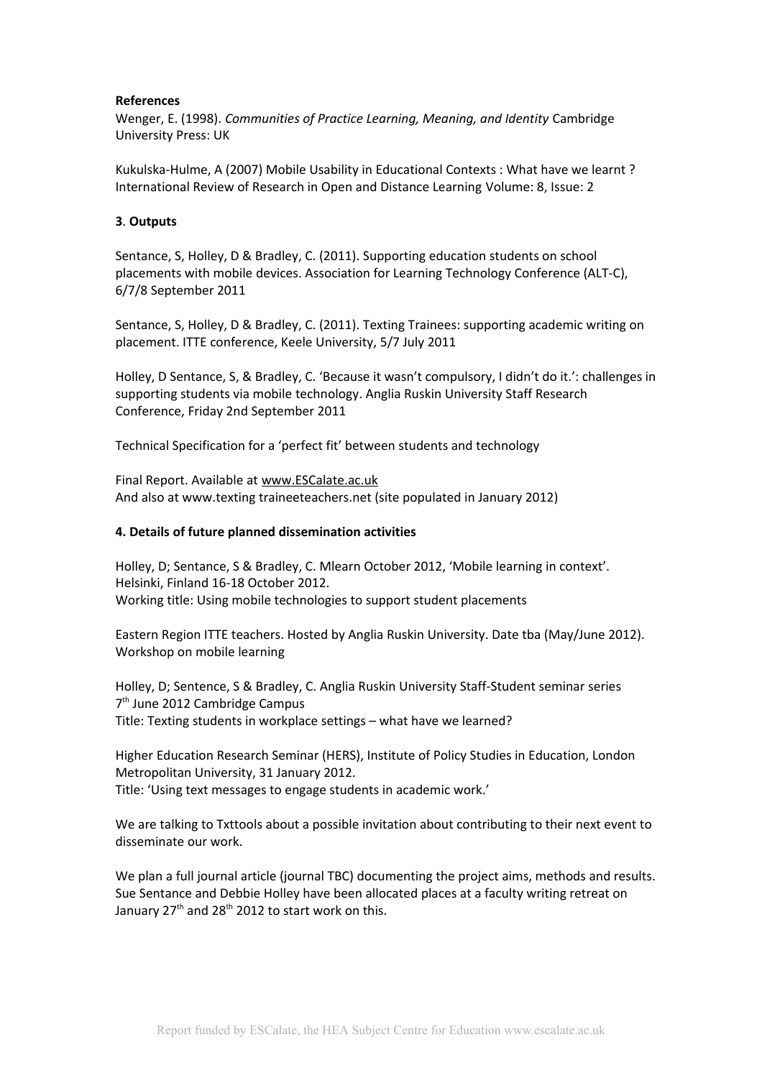## **References**

Wenger, E. (1998). *Communities of Practice Learning, Meaning, and Identity* Cambridge University Press: UK

Kukulska-Hulme, A (2007) Mobile Usability in Educational Contexts : What have we learnt ? International Review of Research in Open and Distance Learning Volume: 8, Issue: 2

## **3**. **Outputs**

Sentance, S, Holley, D & Bradley, C. (2011). Supporting education students on school placements with mobile devices. Association for Learning Technology Conference (ALT-C), 6/7/8 September 2011

Sentance, S, Holley, D & Bradley, C. (2011). Texting Trainees: supporting academic writing on placement. ITTE conference, Keele University, 5/7 July 2011

Holley, D Sentance, S, & Bradley, C. 'Because it wasn't compulsory, I didn't do it.': challenges in supporting students via mobile technology. Anglia Ruskin University Staff Research Conference, Friday 2nd September 2011

Technical Specification for a 'perfect fit' between students and technology

Final Report. Available at [www.ESCalate.ac.uk](http://www.ESCalate.ac.uk/) And also at www.texting traineeteachers.net (site populated in January 2012)

## **4. Details of future planned dissemination activities**

Holley, D; Sentance, S & Bradley, C. Mlearn October 2012, 'Mobile learning in context'. Helsinki, Finland 16-18 October 2012. Working title: Using mobile technologies to support student placements

Eastern Region ITTE teachers. Hosted by Anglia Ruskin University. Date tba (May/June 2012). Workshop on mobile learning

Holley, D; Sentence, S & Bradley, C. Anglia Ruskin University Staff-Student seminar series 7<sup>th</sup> June 2012 Cambridge Campus Title: Texting students in workplace settings – what have we learned?

Higher Education Research Seminar (HERS), Institute of Policy Studies in Education, London Metropolitan University, 31 January 2012. Title: 'Using text messages to engage students in academic work.'

We are talking to Txttools about a possible invitation about contributing to their next event to disseminate our work.

We plan a full journal article (journal TBC) documenting the project aims, methods and results. Sue Sentance and Debbie Holley have been allocated places at a faculty writing retreat on January  $27<sup>th</sup>$  and  $28<sup>th</sup>$  2012 to start work on this.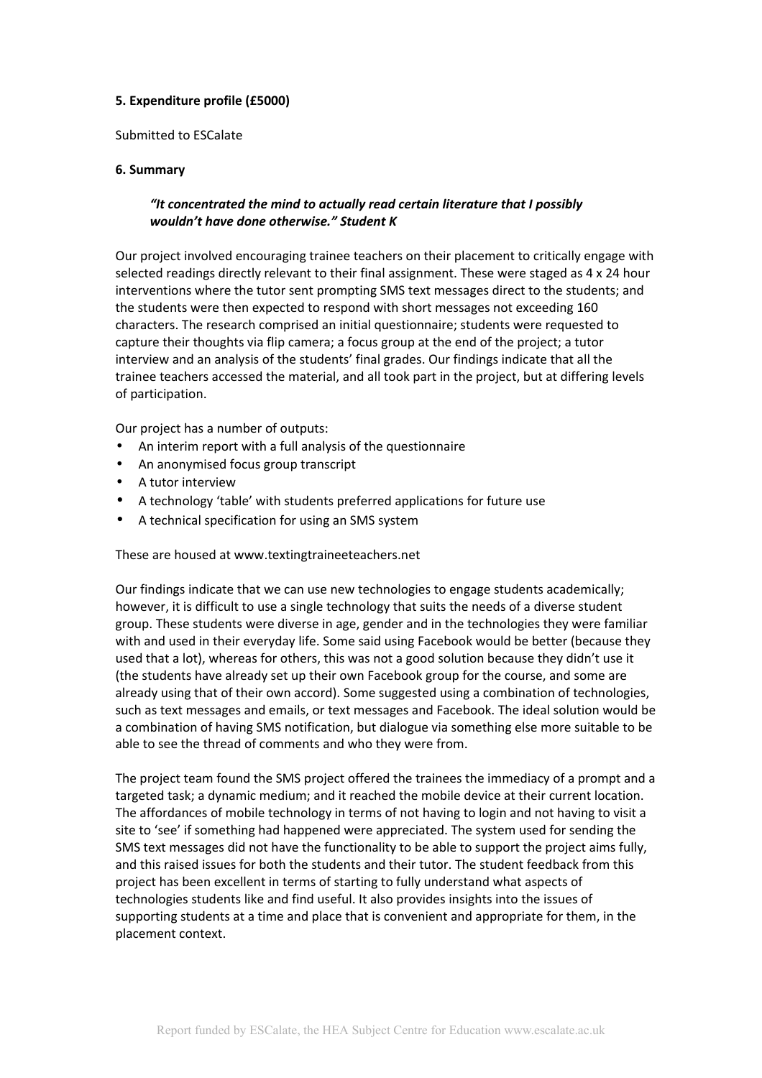# **5. Expenditure profile (£5000)**

Submitted to ESCalate

## **6. Summary**

# *"It concentrated the mind to actually read certain literature that I possibly wouldn't have done otherwise." Student K*

Our project involved encouraging trainee teachers on their placement to critically engage with selected readings directly relevant to their final assignment. These were staged as 4 x 24 hour interventions where the tutor sent prompting SMS text messages direct to the students; and the students were then expected to respond with short messages not exceeding 160 characters. The research comprised an initial questionnaire; students were requested to capture their thoughts via flip camera; a focus group at the end of the project; a tutor interview and an analysis of the students' final grades. Our findings indicate that all the trainee teachers accessed the material, and all took part in the project, but at differing levels of participation.

Our project has a number of outputs:

- An interim report with a full analysis of the questionnaire
- An anonymised focus group transcript
- A tutor interview
- A technology 'table' with students preferred applications for future use
- A technical specification for using an SMS system

These are housed at www.textingtraineeteachers.net

Our findings indicate that we can use new technologies to engage students academically; however, it is difficult to use a single technology that suits the needs of a diverse student group. These students were diverse in age, gender and in the technologies they were familiar with and used in their everyday life. Some said using Facebook would be better (because they used that a lot), whereas for others, this was not a good solution because they didn't use it (the students have already set up their own Facebook group for the course, and some are already using that of their own accord). Some suggested using a combination of technologies, such as text messages and emails, or text messages and Facebook. The ideal solution would be a combination of having SMS notification, but dialogue via something else more suitable to be able to see the thread of comments and who they were from.

The project team found the SMS project offered the trainees the immediacy of a prompt and a targeted task; a dynamic medium; and it reached the mobile device at their current location. The affordances of mobile technology in terms of not having to login and not having to visit a site to 'see' if something had happened were appreciated. The system used for sending the SMS text messages did not have the functionality to be able to support the project aims fully, and this raised issues for both the students and their tutor. The student feedback from this project has been excellent in terms of starting to fully understand what aspects of technologies students like and find useful. It also provides insights into the issues of supporting students at a time and place that is convenient and appropriate for them, in the placement context.